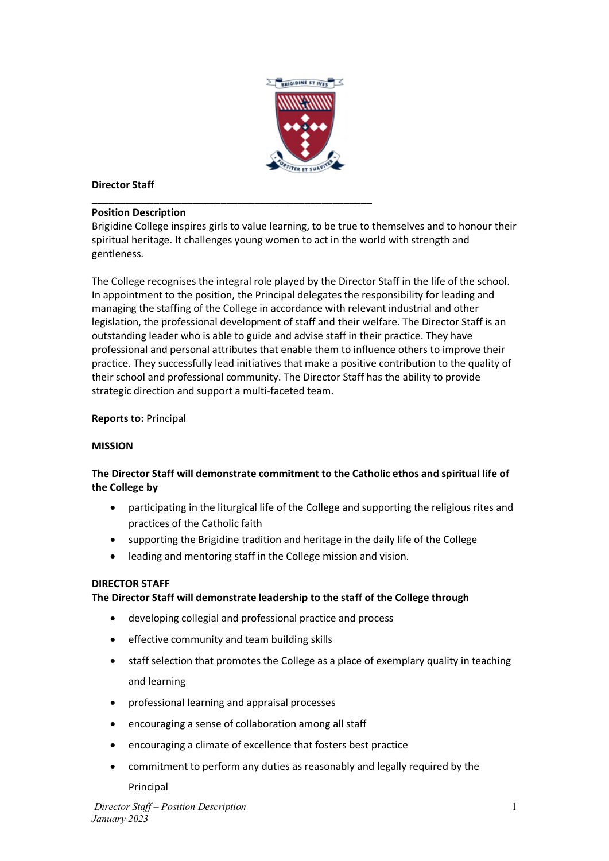

## **Director Staff**

#### **\_\_\_\_\_\_\_\_\_\_\_\_\_\_\_\_\_\_\_\_\_\_\_\_\_\_\_\_\_\_\_\_\_\_\_\_\_\_\_\_\_\_\_\_\_\_\_\_\_\_ Position Description**

Brigidine College inspires girls to value learning, to be true to themselves and to honour their spiritual heritage. It challenges young women to act in the world with strength and gentleness.

The College recognises the integral role played by the Director Staff in the life of the school. In appointment to the position, the Principal delegates the responsibility for leading and managing the staffing of the College in accordance with relevant industrial and other legislation, the professional development of staff and their welfare. The Director Staff is an outstanding leader who is able to guide and advise staff in their practice. They have professional and personal attributes that enable them to influence others to improve their practice. They successfully lead initiatives that make a positive contribution to the quality of their school and professional community. The Director Staff has the ability to provide strategic direction and support a multi-faceted team.

### **Reports to:** Principal

### **MISSION**

# **The Director Staff will demonstrate commitment to the Catholic ethos and spiritual life of the College by**

- participating in the liturgical life of the College and supporting the religious rites and practices of the Catholic faith
- supporting the Brigidine tradition and heritage in the daily life of the College
- leading and mentoring staff in the College mission and vision.

### **DIRECTOR STAFF**

### **The Director Staff will demonstrate leadership to the staff of the College through**

- developing collegial and professional practice and process
- effective community and team building skills
- staff selection that promotes the College as a place of exemplary quality in teaching and learning
- professional learning and appraisal processes
- encouraging a sense of collaboration among all staff
- encouraging a climate of excellence that fosters best practice
- commitment to perform any duties as reasonably and legally required by the Principal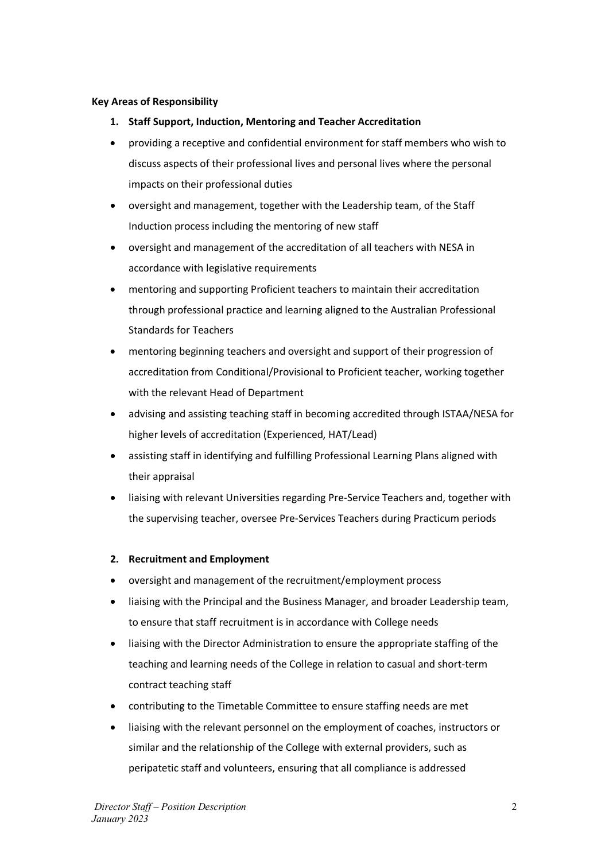### **Key Areas of Responsibility**

- **1. Staff Support, Induction, Mentoring and Teacher Accreditation**
- providing a receptive and confidential environment for staff members who wish to discuss aspects of their professional lives and personal lives where the personal impacts on their professional duties
- oversight and management, together with the Leadership team, of the Staff Induction process including the mentoring of new staff
- oversight and management of the accreditation of all teachers with NESA in accordance with legislative requirements
- mentoring and supporting Proficient teachers to maintain their accreditation through professional practice and learning aligned to the Australian Professional Standards for Teachers
- mentoring beginning teachers and oversight and support of their progression of accreditation from Conditional/Provisional to Proficient teacher, working together with the relevant Head of Department
- advising and assisting teaching staff in becoming accredited through ISTAA/NESA for higher levels of accreditation (Experienced, HAT/Lead)
- assisting staff in identifying and fulfilling Professional Learning Plans aligned with their appraisal
- liaising with relevant Universities regarding Pre-Service Teachers and, together with the supervising teacher, oversee Pre-Services Teachers during Practicum periods

### **2. Recruitment and Employment**

- oversight and management of the recruitment/employment process
- liaising with the Principal and the Business Manager, and broader Leadership team, to ensure that staff recruitment is in accordance with College needs
- liaising with the Director Administration to ensure the appropriate staffing of the teaching and learning needs of the College in relation to casual and short-term contract teaching staff
- contributing to the Timetable Committee to ensure staffing needs are met
- liaising with the relevant personnel on the employment of coaches, instructors or similar and the relationship of the College with external providers, such as peripatetic staff and volunteers, ensuring that all compliance is addressed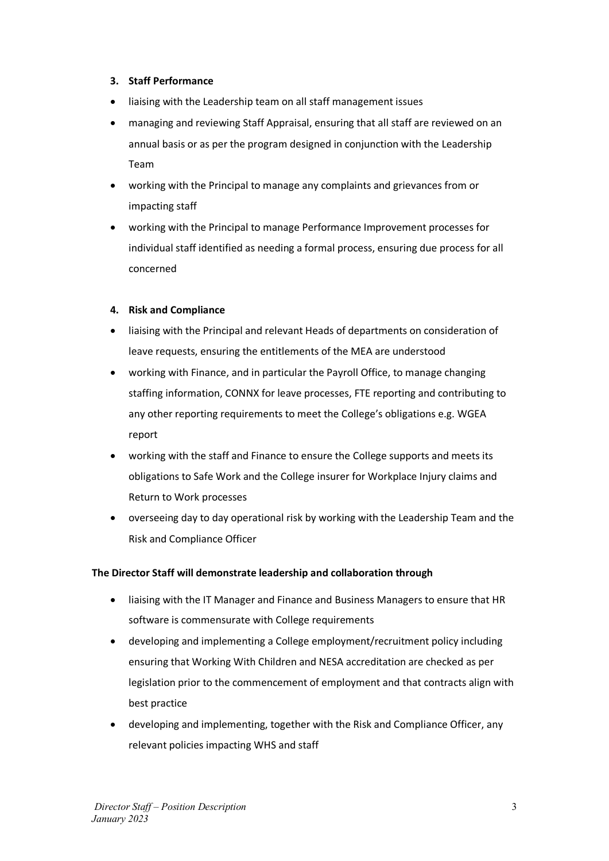### **3. Staff Performance**

- liaising with the Leadership team on all staff management issues
- managing and reviewing Staff Appraisal, ensuring that all staff are reviewed on an annual basis or as per the program designed in conjunction with the Leadership Team
- working with the Principal to manage any complaints and grievances from or impacting staff
- working with the Principal to manage Performance Improvement processes for individual staff identified as needing a formal process, ensuring due process for all concerned

### **4. Risk and Compliance**

- liaising with the Principal and relevant Heads of departments on consideration of leave requests, ensuring the entitlements of the MEA are understood
- working with Finance, and in particular the Payroll Office, to manage changing staffing information, CONNX for leave processes, FTE reporting and contributing to any other reporting requirements to meet the College's obligations e.g. WGEA report
- working with the staff and Finance to ensure the College supports and meets its obligations to Safe Work and the College insurer for Workplace Injury claims and Return to Work processes
- overseeing day to day operational risk by working with the Leadership Team and the Risk and Compliance Officer

## **The Director Staff will demonstrate leadership and collaboration through**

- liaising with the IT Manager and Finance and Business Managers to ensure that HR software is commensurate with College requirements
- developing and implementing a College employment/recruitment policy including ensuring that Working With Children and NESA accreditation are checked as per legislation prior to the commencement of employment and that contracts align with best practice
- developing and implementing, together with the Risk and Compliance Officer, any relevant policies impacting WHS and staff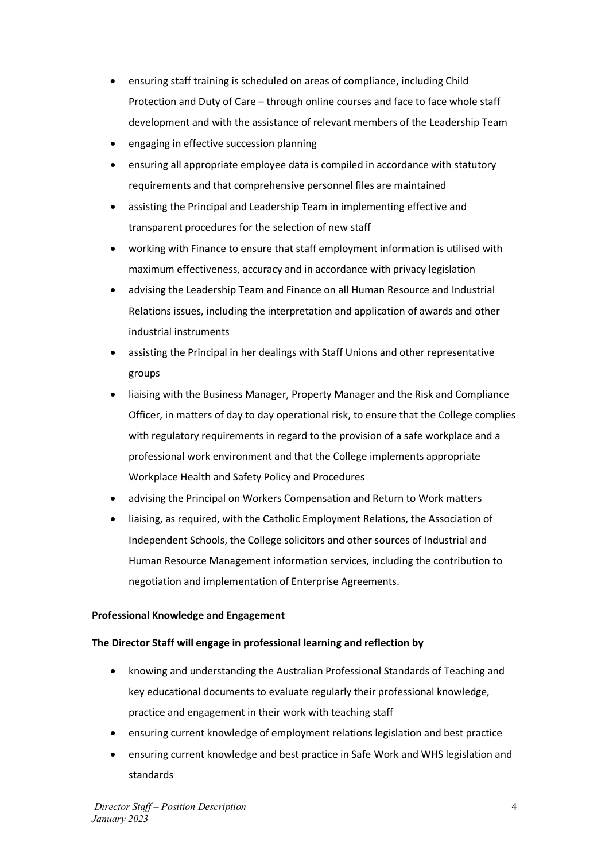- ensuring staff training is scheduled on areas of compliance, including Child Protection and Duty of Care – through online courses and face to face whole staff development and with the assistance of relevant members of the Leadership Team
- engaging in effective succession planning
- ensuring all appropriate employee data is compiled in accordance with statutory requirements and that comprehensive personnel files are maintained
- assisting the Principal and Leadership Team in implementing effective and transparent procedures for the selection of new staff
- working with Finance to ensure that staff employment information is utilised with maximum effectiveness, accuracy and in accordance with privacy legislation
- advising the Leadership Team and Finance on all Human Resource and Industrial Relations issues, including the interpretation and application of awards and other industrial instruments
- assisting the Principal in her dealings with Staff Unions and other representative groups
- liaising with the Business Manager, Property Manager and the Risk and Compliance Officer, in matters of day to day operational risk, to ensure that the College complies with regulatory requirements in regard to the provision of a safe workplace and a professional work environment and that the College implements appropriate Workplace Health and Safety Policy and Procedures
- advising the Principal on Workers Compensation and Return to Work matters
- liaising, as required, with the Catholic Employment Relations, the Association of Independent Schools, the College solicitors and other sources of Industrial and Human Resource Management information services, including the contribution to negotiation and implementation of Enterprise Agreements.

## **Professional Knowledge and Engagement**

## **The Director Staff will engage in professional learning and reflection by**

- knowing and understanding the Australian Professional Standards of Teaching and key educational documents to evaluate regularly their professional knowledge, practice and engagement in their work with teaching staff
- ensuring current knowledge of employment relations legislation and best practice
- ensuring current knowledge and best practice in Safe Work and WHS legislation and standards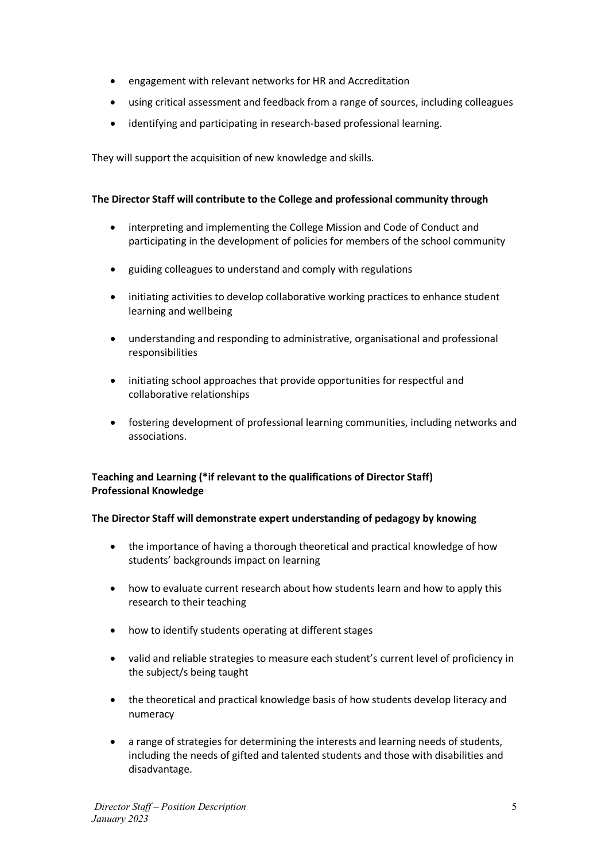- engagement with relevant networks for HR and Accreditation
- using critical assessment and feedback from a range of sources, including colleagues
- identifying and participating in research-based professional learning.

They will support the acquisition of new knowledge and skills.

## **The Director Staff will contribute to the College and professional community through**

- interpreting and implementing the College Mission and Code of Conduct and participating in the development of policies for members of the school community
- guiding colleagues to understand and comply with regulations
- initiating activities to develop collaborative working practices to enhance student learning and wellbeing
- understanding and responding to administrative, organisational and professional responsibilities
- initiating school approaches that provide opportunities for respectful and collaborative relationships
- fostering development of professional learning communities, including networks and associations.

## **Teaching and Learning (\*if relevant to the qualifications of Director Staff) Professional Knowledge**

## **The Director Staff will demonstrate expert understanding of pedagogy by knowing**

- the importance of having a thorough theoretical and practical knowledge of how students' backgrounds impact on learning
- how to evaluate current research about how students learn and how to apply this research to their teaching
- how to identify students operating at different stages
- valid and reliable strategies to measure each student's current level of proficiency in the subject/s being taught
- the theoretical and practical knowledge basis of how students develop literacy and numeracy
- a range of strategies for determining the interests and learning needs of students, including the needs of gifted and talented students and those with disabilities and disadvantage.